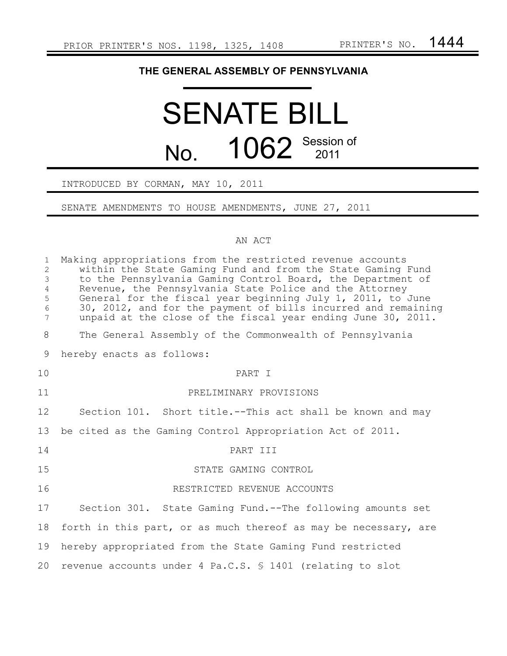## **THE GENERAL ASSEMBLY OF PENNSYLVANIA**

# SENATE BILL No. 1062 Session of

## INTRODUCED BY CORMAN, MAY 10, 2011

#### SENATE AMENDMENTS TO HOUSE AMENDMENTS, JUNE 27, 2011

#### AN ACT

| $\mathbf{1}$<br>$\overline{2}$<br>$\mathfrak{Z}$<br>$\overline{4}$<br>5<br>$\epsilon$<br>7 | Making appropriations from the restricted revenue accounts<br>within the State Gaming Fund and from the State Gaming Fund<br>to the Pennsylvania Gaming Control Board, the Department of<br>Revenue, the Pennsylvania State Police and the Attorney<br>General for the fiscal year beginning July 1, 2011, to June<br>30, 2012, and for the payment of bills incurred and remaining<br>unpaid at the close of the fiscal year ending June 30, 2011. |
|--------------------------------------------------------------------------------------------|-----------------------------------------------------------------------------------------------------------------------------------------------------------------------------------------------------------------------------------------------------------------------------------------------------------------------------------------------------------------------------------------------------------------------------------------------------|
| 8                                                                                          | The General Assembly of the Commonwealth of Pennsylvania                                                                                                                                                                                                                                                                                                                                                                                            |
| 9                                                                                          | hereby enacts as follows:                                                                                                                                                                                                                                                                                                                                                                                                                           |
| 10                                                                                         | PART T                                                                                                                                                                                                                                                                                                                                                                                                                                              |
| 11                                                                                         | PRELIMINARY PROVISIONS                                                                                                                                                                                                                                                                                                                                                                                                                              |
| 12                                                                                         | Section 101. Short title.--This act shall be known and may                                                                                                                                                                                                                                                                                                                                                                                          |
| 13                                                                                         | be cited as the Gaming Control Appropriation Act of 2011.                                                                                                                                                                                                                                                                                                                                                                                           |
| 14                                                                                         | PART III                                                                                                                                                                                                                                                                                                                                                                                                                                            |
| 15                                                                                         | STATE GAMING CONTROL                                                                                                                                                                                                                                                                                                                                                                                                                                |
| 16                                                                                         | RESTRICTED REVENUE ACCOUNTS                                                                                                                                                                                                                                                                                                                                                                                                                         |
| 17                                                                                         | Section 301. State Gaming Fund.--The following amounts set                                                                                                                                                                                                                                                                                                                                                                                          |
| 18                                                                                         | forth in this part, or as much thereof as may be necessary, are                                                                                                                                                                                                                                                                                                                                                                                     |
| 19                                                                                         | hereby appropriated from the State Gaming Fund restricted                                                                                                                                                                                                                                                                                                                                                                                           |
| 20                                                                                         | revenue accounts under 4 Pa.C.S. § 1401 (relating to slot                                                                                                                                                                                                                                                                                                                                                                                           |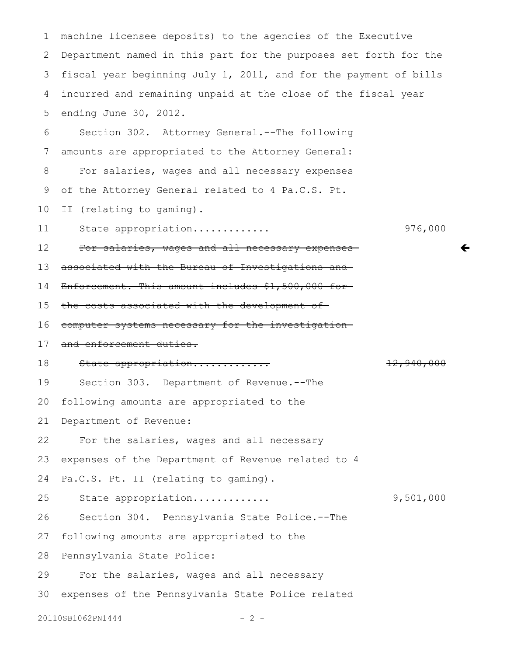machine licensee deposits) to the agencies of the Executive Department named in this part for the purposes set forth for the fiscal year beginning July 1, 2011, and for the payment of bills incurred and remaining unpaid at the close of the fiscal year ending June 30, 2012. 1 2 3 4 5

Section 302. Attorney General.--The following amounts are appropriated to the Attorney General: For salaries, wages and all necessary expenses of the Attorney General related to 4 Pa.C.S. Pt. 6 7 8 9

II (relating to gaming). 10

State appropriation............. 976,000 11

 $\leftarrow$ 

For salaries, wages and all necessary expensesassociated with the Bureau of Investigations and 12 13

Enforcement. This amount includes \$1,500,000 for 14

the costs associated with the development of 15

computer systems necessary for the investigation 16

and enforcement duties. 17

State appropriation............. 12,940,000 18

Section 303. Department of Revenue.--The 19

following amounts are appropriated to the 20

Department of Revenue: 21

For the salaries, wages and all necessary 22

expenses of the Department of Revenue related to 4 23

Pa.C.S. Pt. II (relating to gaming). 24

State appropriation............. 9,501,000 25

Section 304. Pennsylvania State Police.--The 26

following amounts are appropriated to the 27

Pennsylvania State Police: 28

For the salaries, wages and all necessary 29

expenses of the Pennsylvania State Police related 30